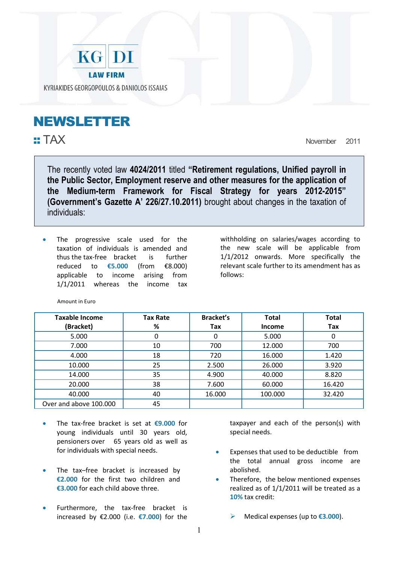

## NEWSLETTER

Ĩ.

:: TAX November 2011

The recently voted law **4024/2011** titled **"Retirement regulations, Unified payroll in the Public Sector, Employment reserve and other measures for the application of the Medium-term Framework for Fiscal Strategy for years 2012-2015" (Government's Gazette Α' 226/27.10.2011)** brought about changes in the taxation of individuals:

The progressive scale used for the taxation of individuals is amended and thus the tax-free bracket is further reduced to **€5.000** (from €8.000) applicable to income arising from 1/1/2011 whereas the income tax

withholding on salaries/wages according to the new scale will be applicable from 1/1/2012 onwards. More specifically the relevant scale further to its amendment has as follows:

| <b>Taxable Income</b>  | <b>Tax Rate</b> | <b>Bracket's</b> | <b>Total</b>  | <b>Total</b> |
|------------------------|-----------------|------------------|---------------|--------------|
| (Bracket)              | %               | Tax              | <b>Income</b> | Tax          |
| 5.000                  |                 |                  | 5.000         | 0            |
| 7.000                  | 10              | 700              | 12.000        | 700          |
| 4.000                  | 18              | 720              | 16.000        | 1.420        |
| 10.000                 | 25              | 2.500            | 26.000        | 3.920        |
| 14.000                 | 35              | 4.900            | 40.000        | 8.820        |
| 20.000                 | 38              | 7.600            | 60.000        | 16.420       |
| 40.000                 | 40              | 16.000           | 100.000       | 32.420       |
| Over and above 100.000 | 45              |                  |               |              |

Αmount in Euro

- The tax-free bracket is set at **€9.000** for young individuals until 30 years old, pensioners over 65 years old as well as for individuals with special needs.
- The tax-free bracket is increased by **€2.000** for the first two children and **€3.000** for each child above three.
- Furthermore, the tax-free bracket is increased by €2.000 (i.e. **€7.000**) for the

 taxpayer and each of the person(s) with special needs.

- Expenses that used to be deductible from the total annual gross income are abolished.
- Therefore, the below mentioned expenses realized as of 1/1/2011 will be treated as a **10%** tax credit:

Medical expenses (up to **€3.000**).